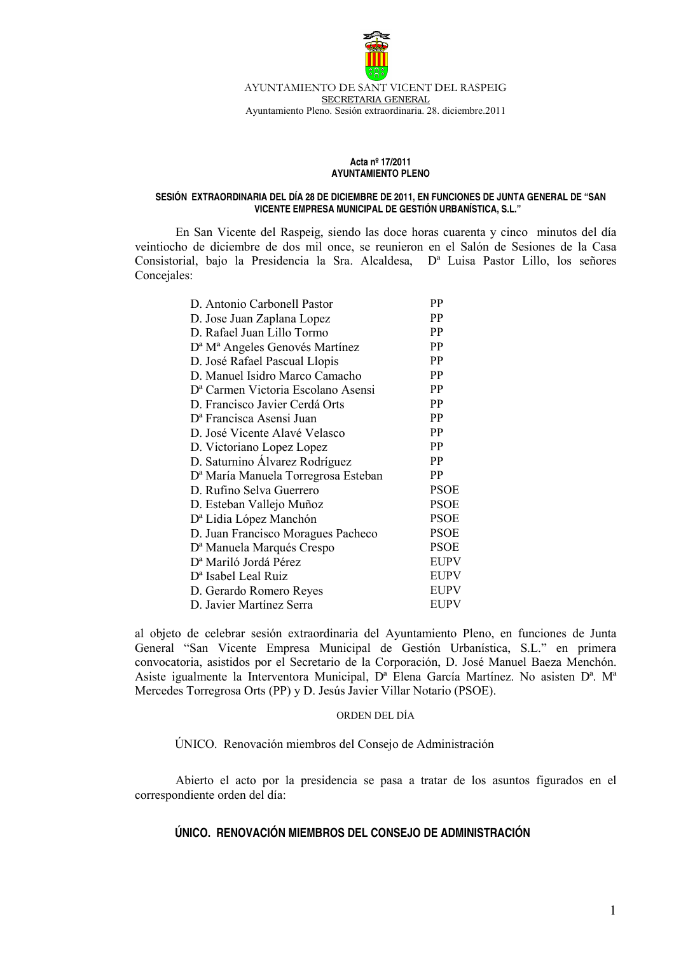

AYUNTAMIENTO DE SANT VICENT DEL RASPEIG SECRETARIA GENERAL Ayuntamiento Pleno. Sesión extraordinaria. 28. diciembre.2011

## Acta nº 17/2011 **AYUNTAMIENTO PLENO**

## SESIÓN EXTRAORDINARIA DEL DÍA 28 DE DICIEMBRE DE 2011, EN FUNCIONES DE JUNTA GENERAL DE "SAN VICENTE EMPRESA MUNICIPAL DE GESTIÓN URBANÍSTICA, S.L."

En San Vicente del Raspeig, siendo las doce horas cuarenta y cinco minutos del día veintiocho de diciembre de dos mil once, se reunieron en el Salón de Sesiones de la Casa Consistorial, bajo la Presidencia la Sra. Alcaldesa, D<sup>a</sup> Luisa Pastor Lillo, los señores Concejales:

| D. Antonio Carbonell Pastor                            | PP          |
|--------------------------------------------------------|-------------|
| D. Jose Juan Zaplana Lopez                             | PP          |
| D. Rafael Juan Lillo Tormo                             | PP          |
| D <sup>a</sup> M <sup>a</sup> Angeles Genovés Martínez | PP          |
| D. José Rafael Pascual Llopis                          | PP          |
| D. Manuel Isidro Marco Camacho                         | PP          |
| D <sup>a</sup> Carmen Victoria Escolano Asensi         | PP          |
| D. Francisco Javier Cerdá Orts                         | <b>PP</b>   |
| D <sup>a</sup> Francisca Asensi Juan                   | PP          |
| D. José Vicente Alavé Velasco                          | PP          |
| D. Victoriano Lopez Lopez                              | <b>PP</b>   |
| D. Saturnino Álvarez Rodríguez                         | PP          |
| D <sup>a</sup> María Manuela Torregrosa Esteban        | <b>PP</b>   |
| D. Rufino Selva Guerrero                               | <b>PSOE</b> |
| D. Esteban Vallejo Muñoz                               | <b>PSOE</b> |
| D <sup>a</sup> Lidia López Manchón                     | <b>PSOE</b> |
| D. Juan Francisco Moragues Pacheco                     | <b>PSOE</b> |
| D <sup>a</sup> Manuela Marqués Crespo                  | <b>PSOE</b> |
| D <sup>a</sup> Mariló Jordá Pérez                      | <b>EUPV</b> |
| D <sup>a</sup> Isabel Leal Ruiz                        | <b>EUPV</b> |
| D. Gerardo Romero Reyes                                | EUPV        |
| D. Javier Martínez Serra                               | EUPV        |

al objeto de celebrar sesión extraordinaria del Ayuntamiento Pleno, en funciones de Junta General "San Vicente Empresa Municipal de Gestión Urbanística, S.L." en primera convocatoria, asistidos por el Secretario de la Corporación, D. José Manuel Baeza Menchón. Asiste igualmente la Interventora Municipal, D<sup>a</sup> Elena García Martínez. No asisten D<sup>a</sup>, M<sup>a</sup> Mercedes Torregrosa Orts (PP) y D. Jesús Javier Villar Notario (PSOE).

## ORDEN DEL DÍA

ÚNICO. Renovación miembros del Consejo de Administración

Abierto el acto por la presidencia se pasa a tratar de los asuntos figurados en el correspondiente orden del día:

## ÚNICO. RENOVACIÓN MIEMBROS DEL CONSEJO DE ADMINISTRACIÓN